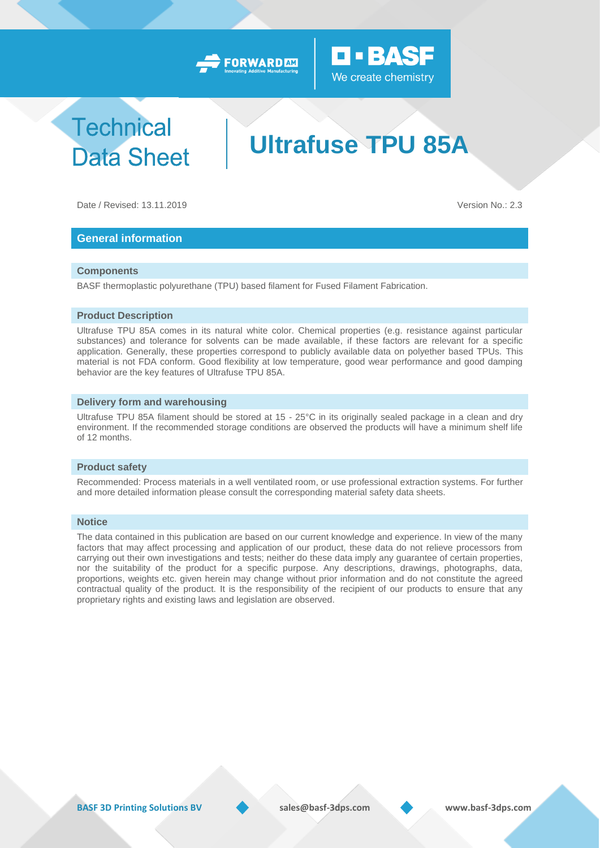



## **Technical Data Sheet**

# **Ultrafuse TPU 85A**

Date / Revised: 13.11.2019 Version No.: 2.3

### **General information**

#### **Components**

BASF thermoplastic polyurethane (TPU) based filament for Fused Filament Fabrication.

#### **Product Description**

Ultrafuse TPU 85A comes in its natural white color. Chemical properties (e.g. resistance against particular substances) and tolerance for solvents can be made available, if these factors are relevant for a specific application. Generally, these properties correspond to publicly available data on polyether based TPUs. This material is not FDA conform. Good flexibility at low temperature, good wear performance and good damping behavior are the key features of Ultrafuse TPU 85A.

#### **Delivery form and warehousing**

Ultrafuse TPU 85A filament should be stored at 15 - 25°C in its originally sealed package in a clean and dry environment. If the recommended storage conditions are observed the products will have a minimum shelf life of 12 months.

#### **Product safety**

Recommended: Process materials in a well ventilated room, or use professional extraction systems. For further and more detailed information please consult the corresponding material safety data sheets.

#### **Notice**

The data contained in this publication are based on our current knowledge and experience. In view of the many factors that may affect processing and application of our product, these data do not relieve processors from carrying out their own investigations and tests; neither do these data imply any guarantee of certain properties, nor the suitability of the product for a specific purpose. Any descriptions, drawings, photographs, data, proportions, weights etc. given herein may change without prior information and do not constitute the agreed contractual quality of the product. It is the responsibility of the recipient of our products to ensure that any proprietary rights and existing laws and legislation are observed.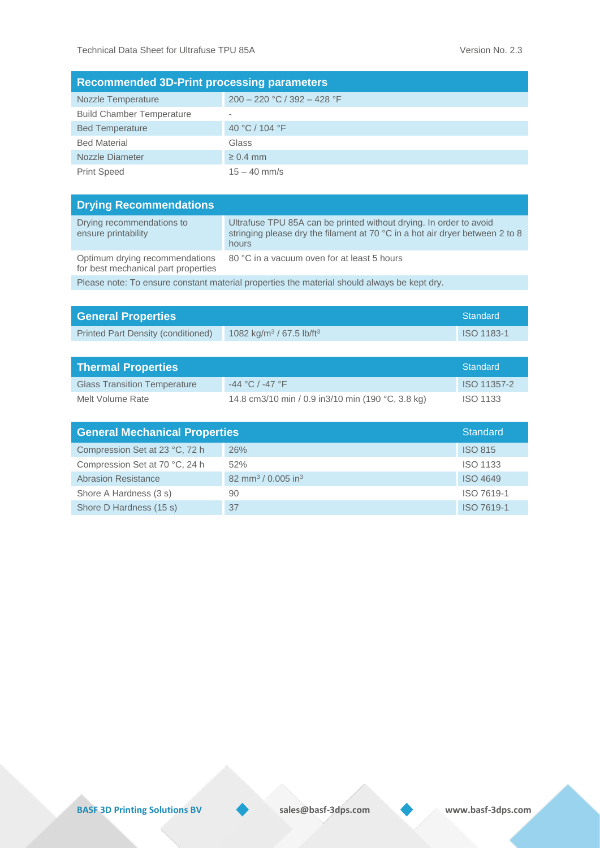| <b>Recommended 3D-Print processing parameters</b> |                               |  |  |
|---------------------------------------------------|-------------------------------|--|--|
| Nozzle Temperature                                | $200 - 220$ °C / 392 - 428 °F |  |  |
| <b>Build Chamber Temperature</b>                  |                               |  |  |
| <b>Bed Temperature</b>                            | 40 °C / 104 °F                |  |  |
| <b>Bed Material</b>                               | Glass                         |  |  |
| Nozzle Diameter                                   | $\geq 0.4$ mm                 |  |  |
| <b>Print Speed</b>                                | $15 - 40$ mm/s                |  |  |

| <b>Drying Recommendations</b>                                                               |                                                                                                                                                             |  |  |
|---------------------------------------------------------------------------------------------|-------------------------------------------------------------------------------------------------------------------------------------------------------------|--|--|
| Drying recommendations to<br>ensure printability                                            | Ultrafuse TPU 85A can be printed without drying. In order to avoid<br>stringing please dry the filament at 70 °C in a hot air dryer between 2 to 8<br>hours |  |  |
| Optimum drying recommendations<br>for best mechanical part properties                       | 80 °C in a vacuum oven for at least 5 hours                                                                                                                 |  |  |
| Please note: To ensure constant material properties the material should always be kept dry. |                                                                                                                                                             |  |  |

| <b>General Properties</b>          |                                                  | Standard   |
|------------------------------------|--------------------------------------------------|------------|
| Printed Part Density (conditioned) | 1082 kg/m <sup>3</sup> / 67.5 lb/ft <sup>3</sup> | ISO 1183-1 |
|                                    |                                                  |            |

| <b>Thermal Properties</b>           |                                                   | Standard        |
|-------------------------------------|---------------------------------------------------|-----------------|
| <b>Glass Transition Temperature</b> | $-44 °C$ / $-47 °F$                               | ISO 11357-2     |
| Melt Volume Rate                    | 14.8 cm3/10 min / 0.9 in3/10 min (190 °C, 3.8 kg) | <b>ISO 1133</b> |

| <b>General Mechanical Properties</b> |                                            | <b>Standard</b> |
|--------------------------------------|--------------------------------------------|-----------------|
| Compression Set at 23 °C, 72 h       | 26%                                        | <b>ISO 815</b>  |
| Compression Set at 70 °C, 24 h       | 52%                                        | <b>ISO 1133</b> |
| <b>Abrasion Resistance</b>           | 82 mm <sup>3</sup> / 0.005 in <sup>3</sup> | <b>ISO 4649</b> |
| Shore A Hardness (3 s)               | 90                                         | ISO 7619-1      |
| Shore D Hardness (15 s)              | 37                                         | ISO 7619-1      |